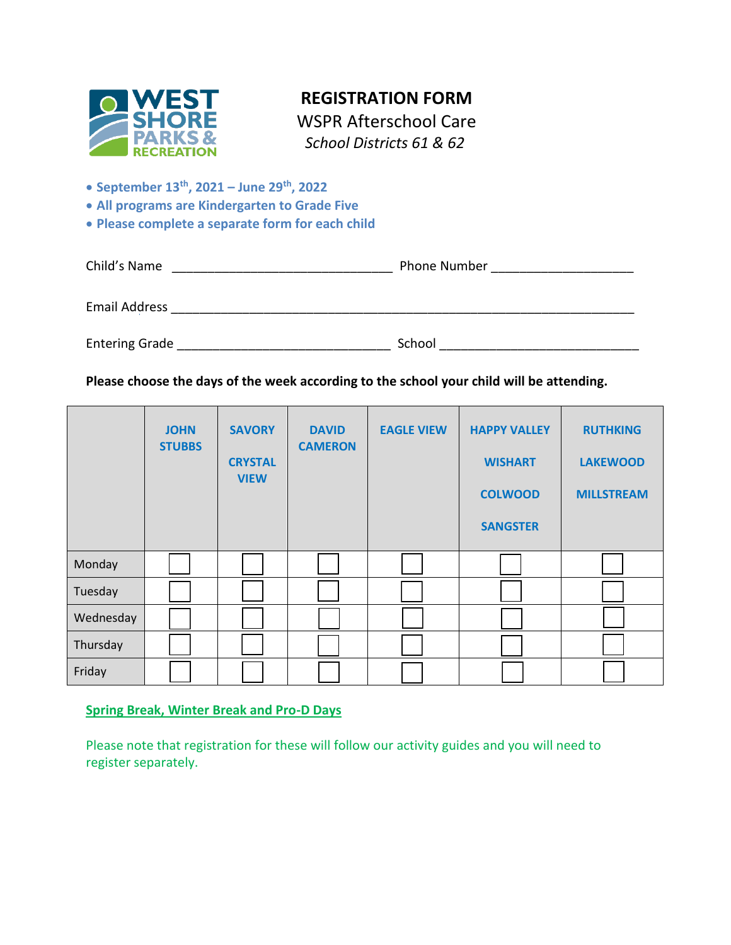

# **REGISTRATION FORM**

WSPR Afterschool Care *School Districts 61 & 62*

- **September 13th, 2021 – June 29th, 2022**
- **All programs are Kindergarten to Grade Five**
- **Please complete a separate form for each child**

| Child's Name         | Phone Number |  |  |
|----------------------|--------------|--|--|
| <b>Email Address</b> |              |  |  |
| Entering Grade       | School       |  |  |

**Please choose the days of the week according to the school your child will be attending.**

|           | <b>JOHN</b><br><b>STUBBS</b> | <b>SAVORY</b><br><b>CRYSTAL</b><br><b>VIEW</b> | <b>DAVID</b><br><b>CAMERON</b> | <b>EAGLE VIEW</b> | <b>HAPPY VALLEY</b><br><b>WISHART</b><br><b>COLWOOD</b><br><b>SANGSTER</b> | <b>RUTHKING</b><br><b>LAKEWOOD</b><br><b>MILLSTREAM</b> |
|-----------|------------------------------|------------------------------------------------|--------------------------------|-------------------|----------------------------------------------------------------------------|---------------------------------------------------------|
| Monday    |                              |                                                |                                |                   |                                                                            |                                                         |
| Tuesday   |                              |                                                |                                |                   |                                                                            |                                                         |
| Wednesday |                              |                                                |                                |                   |                                                                            |                                                         |
| Thursday  |                              |                                                |                                |                   |                                                                            |                                                         |
| Friday    |                              |                                                |                                |                   |                                                                            |                                                         |

## **Spring Break, Winter Break and Pro-D Days**

Please note that registration for these will follow our activity guides and you will need to register separately.